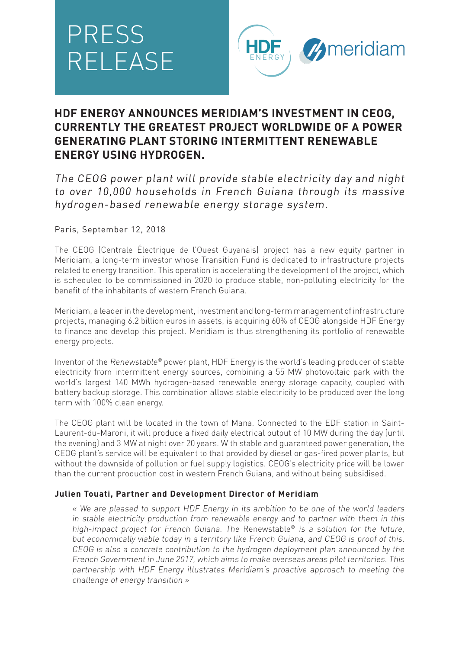# PRESS RELEASE



# **HDF ENERGY ANNOUNCES MERIDIAM'S INVESTMENT IN CEOG, CURRENTLY THE GREATEST PROJECT WORLDWIDE OF A POWER GENERATING PLANT STORING INTERMITTENT RENEWABLE ENERGY USING HYDROGEN.**

The CEOG power plant will provide stable electricity day and night to over 10,000 households in French Guiana through its massive hydrogen-based renewable energy storage system.

# Paris, September 12, 2018

The CEOG (Centrale Électrique de l'Ouest Guyanais) project has a new equity partner in Meridiam, a long-term investor whose Transition Fund is dedicated to infrastructure projects related to energy transition. This operation is accelerating the development of the project, which is scheduled to be commissioned in 2020 to produce stable, non-polluting electricity for the benefit of the inhabitants of western French Guiana.

Meridiam, a leader in the development, investment and long-term management of infrastructure projects, managing 6.2 billion euros in assets, is acquiring 60% of CEOG alongside HDF Energy to finance and develop this project. Meridiam is thus strengthening its portfolio of renewable energy projects.

Inventor of the Renewstable® power plant, HDF Energy is the world's leading producer of stable electricity from intermittent energy sources, combining a 55 MW photovoltaic park with the world's largest 140 MWh hydrogen-based renewable energy storage capacity, coupled with battery backup storage. This combination allows stable electricity to be produced over the long term with 100% clean energy.

The CEOG plant will be located in the town of Mana. Connected to the EDF station in Saint-Laurent-du-Maroni, it will produce a fixed daily electrical output of 10 MW during the day (until the evening) and 3 MW at night over 20 years. With stable and guaranteed power generation, the CEOG plant's service will be equivalent to that provided by diesel or gas-fired power plants, but without the downside of pollution or fuel supply logistics. CEOG's electricity price will be lower than the current production cost in western French Guiana, and without being subsidised.

# **Julien Touati, Partner and Development Director of Meridiam**

« We are pleased to support HDF Energy in its ambition to be one of the world leaders in stable electricity production from renewable energy and to partner with them in this high-impact project for French Guiana. The Renewstable® is a solution for the future, but economically viable today in a territory like French Guiana, and CEOG is proof of this. CEOG is also a concrete contribution to the hydrogen deployment plan announced by the French Government in June 2017, which aims to make overseas areas pilot territories. This partnership with HDF Energy illustrates Meridiam's proactive approach to meeting the challenge of energy transition »